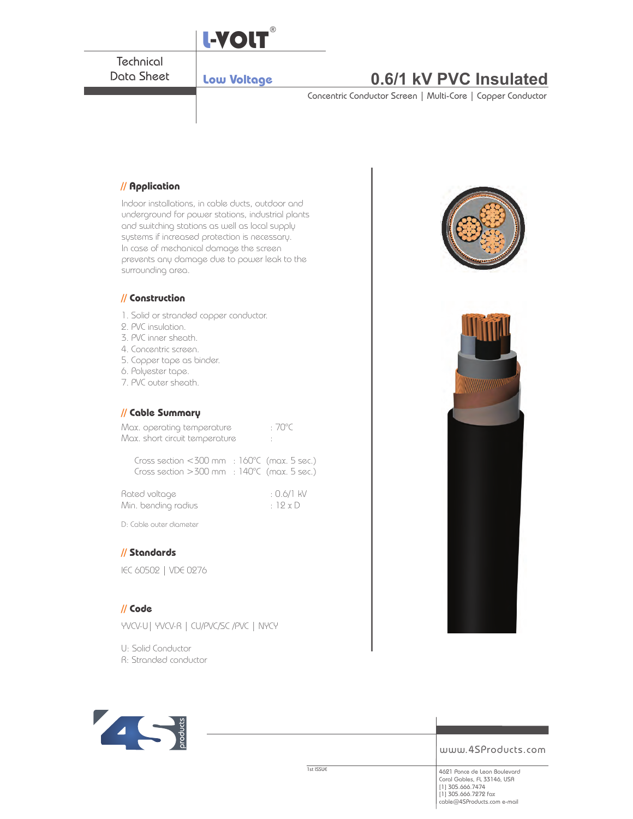

Indoor installations, in cable ducts, outdoor and underground for power stations, industrial plants and switching stations as well as local supply systems if increased protection is necessary. In case of mechanical damage the screen prevents any damage due to power leak to the surrounding area.

#### **// Construction**

- 1. Solid or stranded copper conductor.
- 2. PVC insulation.
- 3. PVC inner sheath.
- 4. Concentric screen.
- 5. Copper tape as binder.
- 6. Polyester tape.
- 7. PVC outer sheath.

#### **// Cable Summary**

| Max. operating temperature                                            | $:70^{\circ}C$ |  |
|-----------------------------------------------------------------------|----------------|--|
| Max. short circuit temperature                                        |                |  |
| $Cose\,a$ ction $\geq 300$ mm $\geq 160\degree$ (mox $5\degree$ cons) |                |  |

| Cross section $<$ 300 mm $\pm$ 160°C (max. 5 sec.)        |  |
|-----------------------------------------------------------|--|
| Cross section $>300$ mm $\pm 140^{\circ}$ C (max. 5 sec.) |  |

| Rated voltage     |  |
|-------------------|--|
| Min. bending radi |  |

 $: 0.6/1$  kV  $\overline{\text{S}}$  in the number of  $\overline{\text{S}}$  radius  $\overline{\text{S}}$  radius  $\overline{\text{S}}$   $\overline{\text{S}}$   $\overline{\text{S}}$   $\overline{\text{S}}$   $\overline{\text{S}}$   $\overline{\text{S}}$   $\overline{\text{S}}$   $\overline{\text{S}}$   $\overline{\text{S}}$   $\overline{\text{S}}$   $\overline{\text{S}}$   $\overline{\text{S}}$   $\overline{\text{S}}$   $\overline{\text{S}}$   $\over$ 

D: Cable outer diameter

### **// Standards**

IEC 60502 | VDE 0276

#### **// Code**

YVCV-U| YVCV-R | CU/PVC/SC /PVC | NYCY

U: Solid Conductor

R: Stranded conductor





www.4SProducts.com